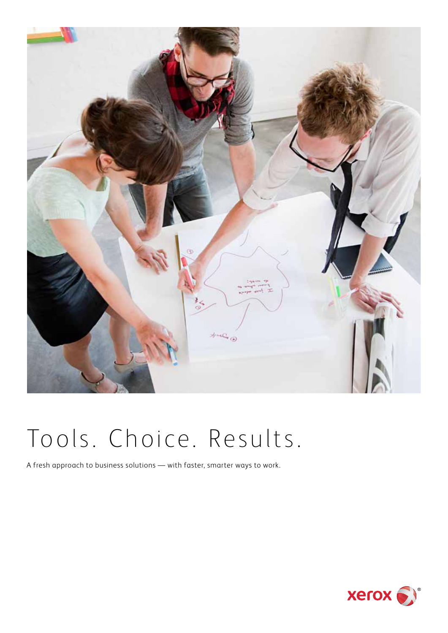

# Tools. Choice. Results.

A fresh approach to business solutions — with faster, smarter ways to work.

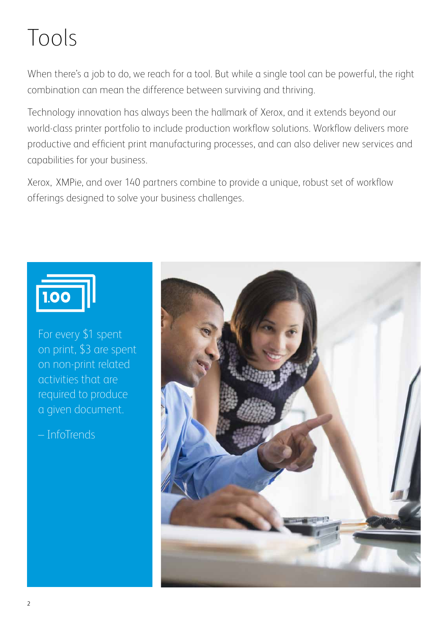# Tools

When there's a job to do, we reach for a tool. But while a single tool can be powerful, the right combination can mean the difference between surviving and thriving.

Technology innovation has always been the hallmark of Xerox, and it extends beyond our world-class printer portfolio to include production workflow solutions. Workflow delivers more productive and efficient print manufacturing processes, and can also deliver new services and capabilities for your business.

Xerox, XMPie, and over 140 partners combine to provide a unique, robust set of workflow offerings designed to solve your business challenges.



For every \$1 spent on print, \$3 are spent on non-print related activities that are required to produce a given document.

– InfoTrends

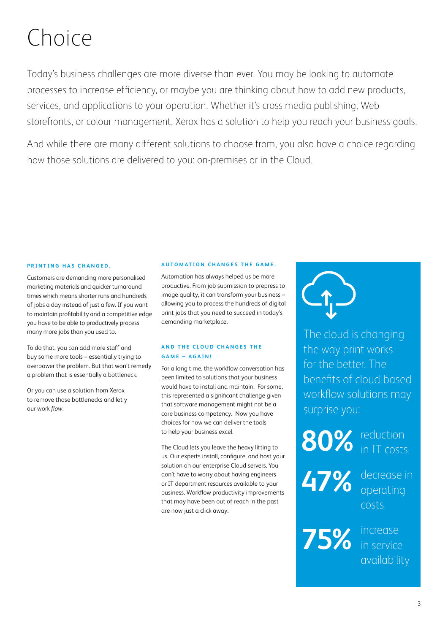# Choice

Today's business challenges are more diverse than ever. You may be looking to automate processes to increase efficiency, or maybe you are thinking about how to add new products, services, and applications to your operation. Whether it's cross media publishing, Web storefronts, or colour management, Xerox has a solution to help you reach your business goals.

And while there are many different solutions to choose from, you also have a choice regarding how those solutions are delivered to you: on-premises or in the Cloud.

#### **PRINTING HAS CHANGED.**

Customers are demanding more personalised marketing materials and quicker turnaround times which means shorter runs and hundreds of jobs a day instead of just a few. If you want to maintain profitability and a competitive edge you have to be able to productively process many more jobs than you used to.

To do that, you can add more staff and buy some more tools – essentially trying to overpower the problem. But that won't remedy a problem that is essentially a bottleneck.

Or you can use a solution from Xerox to remove those bottlenecks and let y our work *flow.*

#### **AUTOMATION CHANGES THE GAME.**

Automation has always helped us be more productive. From job submission to prepress to image quality, it can transform your business – allowing you to process the hundreds of digital print jobs that you need to succeed in today's demanding marketplace.

#### **AND THE CLOUD CHANGES THE GAME – AGAIN!**

For a long time, the workflow conversation has been limited to solutions that your business would have to install and maintain. For some, this represented a significant challenge given that software management might not be a core business competency. Now you have choices for how we can deliver the tools to help your business excel.

The Cloud lets you leave the heavy lifting to us. Our experts install, configure, and host your solution on our enterprise Cloud servers. You don't have to worry about having engineers or IT department resources available to your business. Workflow productivity improvements that may have been out of reach in the past are now just a click away.

The cloud is changing the way print works – for the better. The benefits of cloud-based workflow solutions may surprise you:

**80%** 

reduction IT costs

**47%** 

decrease in operating costs

**75%** 

increase in service availability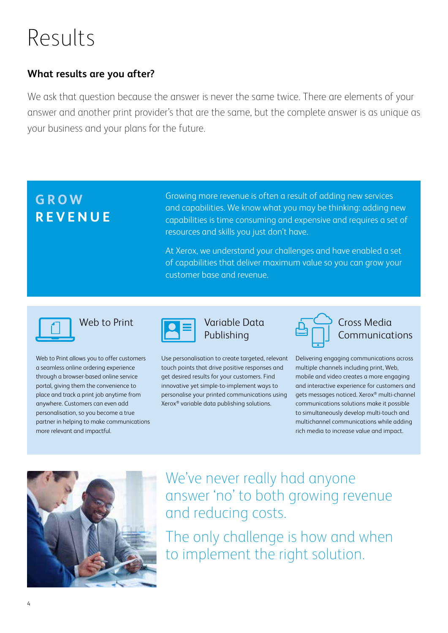# Results

### **What results are you after?**

We ask that question because the answer is never the same twice. There are elements of your answer and another print provider's that are the same, but the complete answer is as unique as your business and your plans for the future.

### **GROW REVENUE**

Growing more revenue is often a result of adding new services and capabilities. We know what you may be thinking: adding new capabilities is time consuming and expensive and requires a set of resources and skills you just don't have.

At Xerox, we understand your challenges and have enabled a set of capabilities that deliver maximum value so you can grow your customer base and revenue.



Web to Print allows you to offer customers a seamless online ordering experience through a browser-based online service portal, giving them the convenience to place and track a print job anytime from anywhere. Customers can even add personalisation, so you become a true partner in helping to make communications more relevant and impactful.



### Web to Print **Variable Data** Publishing

Use personalisation to create targeted, relevant touch points that drive positive responses and get desired results for your customers. Find innovative yet simple-to-implement ways to personalise your printed communications using Xerox® variable data publishing solutions.



Cross Media Communications

Delivering engaging communications across multiple channels including print, Web, mobile and video creates a more engaging and interactive experience for customers and gets messages noticed. Xerox® multi-channel communications solutions make it possible to simultaneously develop multi-touch and multichannel communications while adding rich media to increase value and impact.



We've never really had anyone answer 'no' to both growing revenue and reducing costs.

The only challenge is how and when to implement the right solution.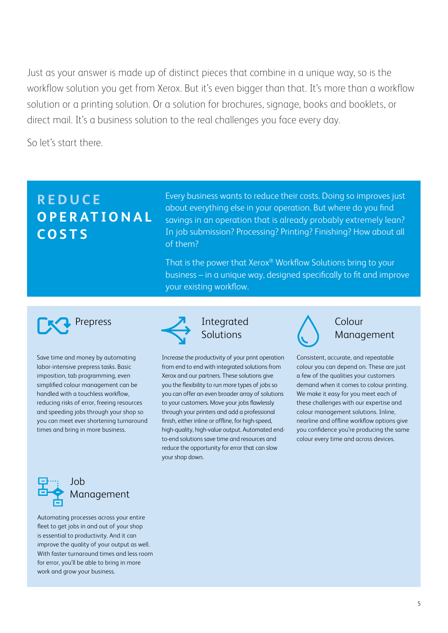Just as your answer is made up of distinct pieces that combine in a unique way, so is the workflow solution you get from Xerox. But it's even bigger than that. It's more than a workflow solution or a printing solution. Or a solution for brochures, signage, books and booklets, or direct mail. It's a business solution to the real challenges you face every day.

So let's start there.

### **R E D U C E O P E R AT I O N A L COSTS**

Every business wants to reduce their costs. Doing so improves just about everything else in your operation. But where do you find savings in an operation that is already probably extremely lean? In job submission? Processing? Printing? Finishing? How about all of them?

That is the power that Xerox® Workflow Solutions bring to your business – in a unique way, designed specifically to fit and improve your existing workflow.



Save time and money by automating labor-intensive prepress tasks. Basic imposition, tab programming, even simplified colour management can be handled with a touchless workflow, reducing risks of error, freeing resources and speeding jobs through your shop so you can meet ever shortening turnaround times and bring in more business.



### Prepress **7** Integrated **1** Colour Solutions

Increase the productivity of your print operation from end to end with integrated solutions from Xerox and our partners. These solutions give you the flexibility to run more types of jobs so you can offer an even broader array of solutions to your customers. Move your jobs flawlessly through your printers and add a professional finish, either inline or offline, for high-speed, high-quality, high-value output. Automated endto-end solutions save time and resources and reduce the opportunity for error that can slow your shop down.



## Management

Consistent, accurate, and repeatable colour you can depend on. These are just a few of the qualities your customers demand when it comes to colour printing. We make it easy for you meet each of these challenges with our expertise and colour management solutions. Inline, nearline and offline workflow options give you confidence you're producing the same colour every time and across devices.



Automating processes across your entire fleet to get jobs in and out of your shop is essential to productivity. And it can improve the quality of your output as well. With faster turnaround times and less room for error, you'll be able to bring in more work and grow your business.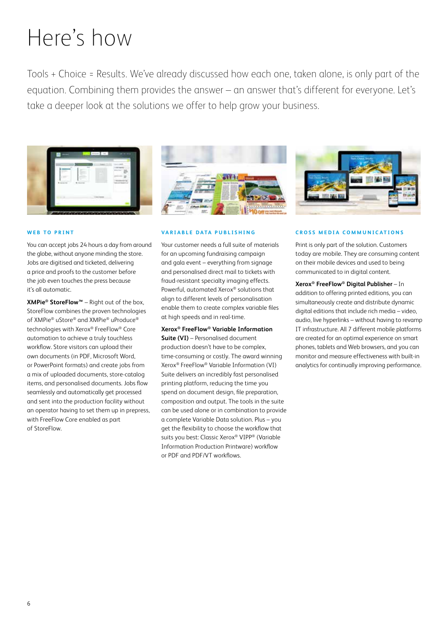# Here's how

Tools + Choice = Results. We've already discussed how each one, taken alone, is only part of the equation. Combining them provides the answer – an answer that's different for everyone. Let's take a deeper look at the solutions we offer to help grow your business.



#### **WEB TO PRINT**

You can accept jobs 24 hours a day from around the globe, without anyone minding the store. Jobs are digitised and ticketed, delivering a price and proofs to the customer before the job even touches the press because it's all automatic.

**XMPie® StoreFlow™** – Right out of the box, StoreFlow combines the proven technologies of XMPie® uStore® and XMPie® uProduce® technologies with Xerox® FreeFlow® Core automation to achieve a truly touchless workflow. Store visitors can upload their own documents (in PDF, Microsoft Word, or PowerPoint formats) and create jobs from a mix of uploaded documents, store-catalog items, and personalised documents. Jobs flow seamlessly and automatically get processed and sent into the production facility without an operator having to set them up in prepress, with FreeFlow Core enabled as part of StoreFlow.

#### **VARIABLE DATA PUBLISHING**

Your customer needs a full suite of materials for an upcoming fundraising campaign and gala event – everything from signage and personalised direct mail to tickets with fraud-resistant specialty imaging effects. Powerful, automated Xerox® solutions that align to different levels of personalisation enable them to create complex variable files at high speeds and in real-time.

**Xerox® FreeFlow® Variable Information Suite (VI)** – Personalised document production doesn't have to be complex, time-consuming or costly. The award winning Xerox® FreeFlow® Variable Information (VI) Suite delivers an incredibly fast personalised printing platform, reducing the time you spend on document design, file preparation, composition and output. The tools in the suite can be used alone or in combination to provide a complete Variable Data solution. Plus – you get the flexibility to choose the workflow that suits you best: Classic Xerox® VIPP® (Variable Information Production Printware) workflow or PDF and PDF/VT workflows.



#### **CROSS MEDIA COMMUNICATIONS**

Print is only part of the solution. Customers today are mobile. They are consuming content on their mobile devices and used to being communicated to in digital content.

**Xerox® FreeFlow® Digital Publisher** – In addition to offering printed editions, you can simultaneously create and distribute dynamic digital editions that include rich media – video, audio, live hyperlinks – without having to revamp IT infrastructure. All 7 different mobile platforms are created for an optimal experience on smart phones, tablets and Web browsers, and you can monitor and measure effectiveness with built-in analytics for continually improving performance.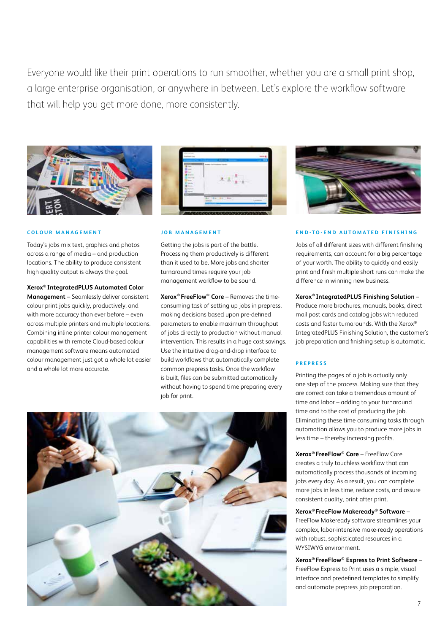Everyone would like their print operations to run smoother, whether you are a small print shop, a large enterprise organisation, or anywhere in between. Let's explore the workflow software that will help you get more done, more consistently.





#### **COLOUR MANAGEMENT**

Today's jobs mix text, graphics and photos across a range of media – and production locations. The ability to produce consistent high quality output is always the goal.

#### **Xerox® IntegratedPLUS Automated Color**

**Management** – Seamlessly deliver consistent colour print jobs quickly, productively, and with more accuracy than ever before – even across multiple printers and multiple locations. Combining inline printer colour management capabilities with remote Cloud-based colour management software means automated colour management just got a whole lot easier and a whole lot more accurate.

#### **J O B M A N A G E M E N T**

Getting the jobs is part of the battle. Processing them productively is different than it used to be. More jobs and shorter turnaround times require your job management workflow to be sound.

**Xerox® FreeFlow® Core** – Removes the timeconsuming task of setting up jobs in prepress, making decisions based upon pre-defined parameters to enable maximum throughput of jobs directly to production without manual intervention. This results in a huge cost savings. Use the intuitive drag-and-drop interface to build workflows that automatically complete common prepress tasks. Once the workflow is built, files can be submitted automatically without having to spend time preparing every job for print.



#### **END-TO-END AUTOMATED FINISHING**

Jobs of all different sizes with different finishing requirements, can account for a big percentage of your worth. The ability to quickly and easily print and finish multiple short runs can make the difference in winning new business.

#### **Xerox® IntegratedPLUS Finishing Solution** –

Produce more brochures, manuals, books, direct mail post cards and catalog jobs with reduced costs and faster turnarounds. With the Xerox® IntegratedPLUS Finishing Solution, the customer's job preparation and finishing setup is automatic.

#### **PREPRESS**

Printing the pages of a job is actually only one step of the process. Making sure that they are correct can take a tremendous amount of time and labor – adding to your turnaround time and to the cost of producing the job. Eliminating these time consuming tasks through automation allows you to produce more jobs in less time – thereby increasing profits.

**Xerox® FreeFlow® Core** – FreeFlow Core creates a truly touchless workflow that can automatically process thousands of incoming jobs every day. As a result, you can complete more jobs in less time, reduce costs, and assure consistent quality, print after print.

#### **Xerox® FreeFlow Makeready® Software** –

FreeFlow Makeready software streamlines your complex, labor-intensive make-ready operations with robust, sophisticated resources in a WYSIWYG environment.

## **Xerox® FreeFlow® Express to Print Software** –

FreeFlow Express to Print uses a simple, visual interface and predefined templates to simplify and automate prepress job preparation.